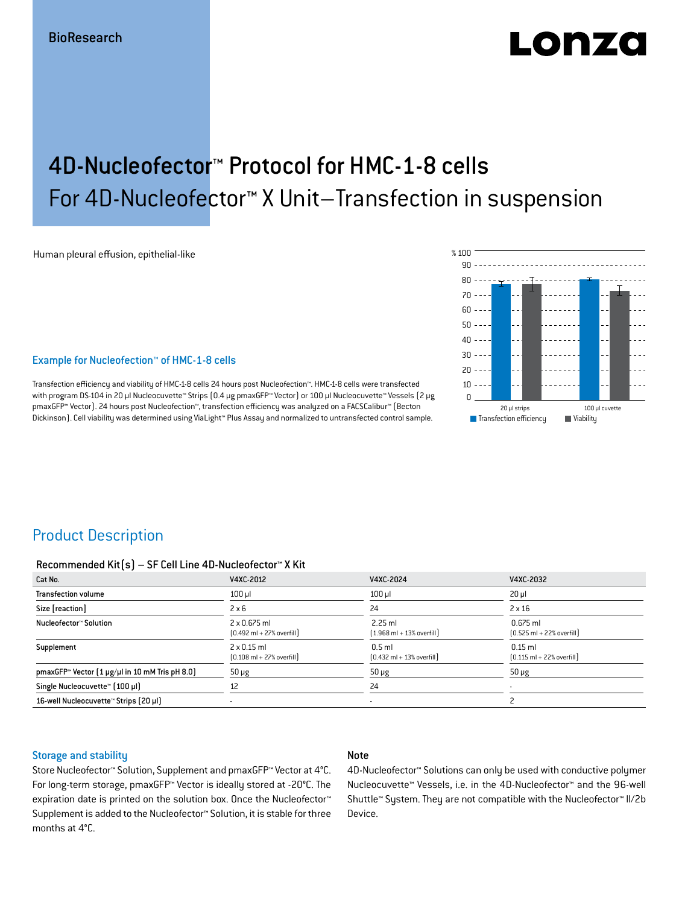# LODZO

## 4D-Nucleofector™ Protocol for HMC-1-8 cells For 4D-Nucleofector™ X Unit–Transfection in suspension

Human pleural effusion, epithelial-like

#### Example for Nucleofection™ of HMC-1-8 cells

Transfection efficiency and viability of HMC-1-8 cells 24 hours post Nucleofection™. HMC-1-8 cells were transfected with program DS-104 in 20 μl Nucleocuvette™ Strips (0.4 μg pmaxGFP™ Vector) or 100 μl Nucleocuvette™ Vessels (2 μg pmaxGFP™ Vector). 24 hours post Nucleofection™, transfection efficiency was analyzed on a FACSCalibur™ (Becton Dickinson). Cell viability was determined using ViaLight™ Plus Assay and normalized to untransfected control sample.



## Product Description

#### Recommended Kit(s) – SF Cell Line 4D-Nucleofector™ X Kit

| Cat No.                                                           | V4XC-2012                                                           | V4XC-2024                                                 | V4XC-2032                                                  |
|-------------------------------------------------------------------|---------------------------------------------------------------------|-----------------------------------------------------------|------------------------------------------------------------|
| <b>Transfection volume</b>                                        | $100$ $\mu$                                                         | $100$ $\mu$                                               | $20 \mu$                                                   |
| Size [reaction]                                                   | $2 \times 6$                                                        | 24                                                        | $2 \times 16$                                              |
| Nucleofector™ Solution                                            | $2 \times 0.675$ ml<br>$[0.492 \text{ ml} + 27\% \text{ overfill}]$ | $2.25$ ml<br>$(1.968 \text{ ml} + 13\% \text{ overfill})$ | $0.675$ ml<br>$[0.525 \text{ ml} + 22\% \text{ overfill}]$ |
| Supplement                                                        | $2 \times 0.15$ ml<br>$[0.108 \text{ ml} + 27\% \text{ overfill}]$  | $0.5$ ml<br>$[0.432 \text{ ml} + 13\% \text{ overfill}]$  | $0.15$ ml<br>$[0.115 \text{ ml} + 22\% \text{ overfill}]$  |
| pmaxGFP <sup>*</sup> Vector $(1 \mu g/\mu)$ in 10 mM Tris pH 8.0) | $50 \mu g$                                                          | $50 \mu g$                                                | $50 \mu g$                                                 |
| Single Nucleocuvette™ [100 µl]                                    | 12                                                                  | 24                                                        |                                                            |
| 16-well Nucleocuvette™ Strips (20 µl)                             |                                                                     | ۰                                                         |                                                            |

#### Storage and stability

#### Note

Store Nucleofector™ Solution, Supplement and pmaxGFP™ Vector at 4°C. For long-term storage, pmaxGFP™ Vector is ideally stored at -20°C. The expiration date is printed on the solution box. Once the Nucleofector™ Supplement is added to the Nucleofector™ Solution, it is stable for three months at 4°C.

4D-Nucleofector™ Solutions can only be used with conductive polymer Nucleocuvette™ Vessels, i.e. in the 4D-Nucleofector™ and the 96-well Shuttle™ System. They are not compatible with the Nucleofector™ II/2b Device.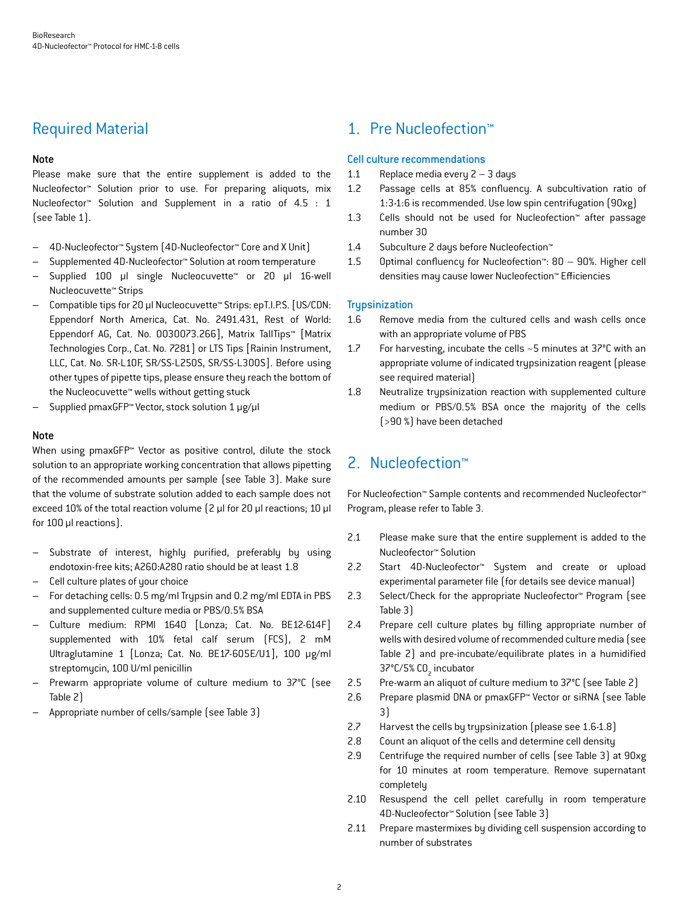## Required Material

#### Note

Please make sure that the entire supplement is added to the Nucleofector™ Solution prior to use. For preparing aliquots, mix Nucleofector™ Solution and Supplement in a ratio of 4.5 : 1 (see Table 1).

- 4D-Nucleofector™ System (4D-Nucleofector™ Core and X Unit)
- Supplemented 4D-Nucleofector™ Solution at room temperature
- Supplied 100 µl single Nucleocuvette™ or 20 µl 16-well Nucleocuvette™ Strips
- Compatible tips for 20 µl Nucleocuvette™ Strips: epT.I.P.S. [US/CDN: Eppendorf North America, Cat. No. 2491.431, Rest of World: Eppendorf AG, Cat. No. 0030073.266], Matrix TallTips™ [Matrix Technologies Corp., Cat. No. 7281] or LTS Tips [Rainin Instrument, LLC, Cat. No. SR-L10F, SR/SS-L250S, SR/SS-L300S]. Before using other types of pipette tips, please ensure they reach the bottom of the Nucleocuvette™ wells without getting stuck
- Supplied pmaxGFP™ Vector, stock solution 1 μg/μl

#### **Note**

When using pmaxGFP<sup>™</sup> Vector as positive control, dilute the stock solution to an appropriate working concentration that allows pipetting of the recommended amounts per sample (see Table 3). Make sure that the volume of substrate solution added to each sample does not exceed 10% of the total reaction volume (2 μl for 20 μl reactions; 10 μl for 100 μl reactions).

- Substrate of interest, highly purified, preferably by using endotoxin-free kits; A260:A280 ratio should be at least 1.8
- Cell culture plates of your choice
- For detaching cells: 0.5 mg/ml Trypsin and 0.2 mg/ml EDTA in PBS and supplemented culture media or PBS/0.5% BSA
- Culture medium: RPMI 1640 [Lonza; Cat. No. BE12-614F] supplemented with 10% fetal calf serum (FCS), 2 mM Ultraglutamine 1 [Lonza; Cat. No. BE17-605E/U1], 100 μg/ml streptomycin, 100 U/ml penicillin
- Prewarm appropriate volume of culture medium to 37°C (see Table 2)
- Appropriate number of cells/sample (see Table 3)

## 1. Pre Nucleofection™

#### Cell culture recommendations

- 1.1 Replace media every 2 3 days
- 1.2 Passage cells at 85% confluency. A subcultivation ratio of 1:3-1:6 is recommended. Use low spin centrifugation (90xg)
- 1.3 Cells should not be used for Nucleofection™ after passage number 30
- 1.4 Subculture 2 days before Nucleofection™
- 1.5 Optimal confluency for Nucleofection™: 80 90%. Higher cell densities may cause lower Nucleofection™ Efficiencies

#### **Trupsinization**

- 1.6 Remove media from the cultured cells and wash cells once with an appropriate volume of PBS
- 1.7 For harvesting, incubate the cells ~5 minutes at 37°C with an appropriate volume of indicated trypsinization reagent (please see required material)
- 1.8 Neutralize trypsinization reaction with supplemented culture medium or PBS/0.5% BSA once the majority of the cells (>90 %) have been detached

## 2. Nucleofection™

For Nucleofection™ Sample contents and recommended Nucleofector™ Program, please refer to Table 3.

- 2.1 Please make sure that the entire supplement is added to the Nucleofector™ Solution
- 2.2 Start 4D-Nucleofector™ System and create or upload experimental parameter file (for details see device manual)
- 2.3 Select/Check for the appropriate Nucleofector™ Program (see Table 3)
- 2.4 Prepare cell culture plates by filling appropriate number of wells with desired volume of recommended culture media (see Table 2) and pre-incubate/equilibrate plates in a humidified 37°C/5% CO<sub>2</sub> incubator
- 2.5 Pre-warm an aliquot of culture medium to 37°C (see Table 2)
- 2.6 Prepare plasmid DNA or pmaxGFP™ Vector or siRNA (see Table 3)
- 2.7 Harvest the cells by trypsinization (please see 1.6-1.8)
- 2.8 Count an aliquot of the cells and determine cell density
- 2.9 Centrifuge the required number of cells (see Table 3) at 90xg for 10 minutes at room temperature. Remove supernatant completely
- 2.10 Resuspend the cell pellet carefully in room temperature 4D-Nucleofector™ Solution (see Table 3)
- 2.11 Prepare mastermixes by dividing cell suspension according to number of substrates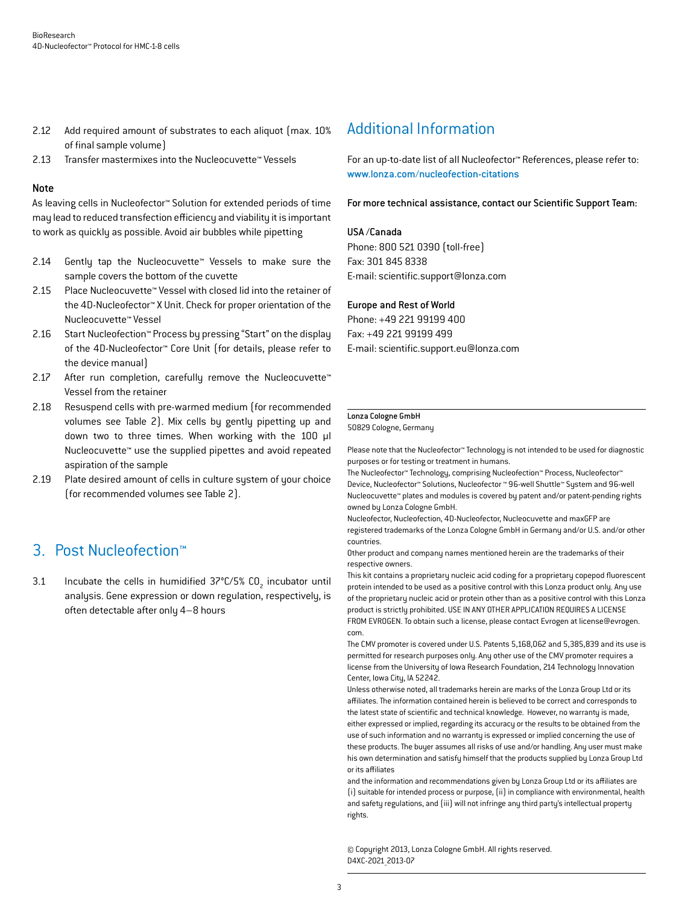- 2.12 Add required amount of substrates to each aliquot (max. 10%) of final sample volume)
- 2.13 Transfer mastermixes into the Nucleocuvette™ Vessels

#### Note

As leaving cells in Nucleofector™ Solution for extended periods of time may lead to reduced transfection efficiency and viability it is important to work as quickly as possible. Avoid air bubbles while pipetting

- 2.14 Gently tap the Nucleocuvette™ Vessels to make sure the sample covers the bottom of the cuvette
- 2.15 Place Nucleocuvette™ Vessel with closed lid into the retainer of the 4D-Nucleofector™ X Unit. Check for proper orientation of the Nucleocuvette™ Vessel
- 2.16 Start Nucleofection™ Process by pressing "Start" on the display of the 4D-Nucleofector™ Core Unit (for details, please refer to the device manual)
- 2.17 After run completion, carefully remove the Nucleocuvette™ Vessel from the retainer
- 2.18 Resuspend cells with pre-warmed medium (for recommended volumes see Table 2). Mix cells by gently pipetting up and down two to three times. When working with the 100 µl Nucleocuvette™ use the supplied pipettes and avoid repeated aspiration of the sample
- 2.19 Plate desired amount of cells in culture system of your choice (for recommended volumes see Table 2).

## 3. Post Nucleofection™

3.1 Incubate the cells in humidified  $37^{\circ}$ C/5% CO<sub>2</sub> incubator until analysis. Gene expression or down regulation, respectively, is often detectable after only 4–8 hours

## Additional Information

For an up-to-date list of all Nucleofector™ References, please refer to: www.lonza.com/nucleofection-citations

For more technical assistance, contact our Scientific Support Team:

#### USA /Canada

Phone: 800 521 0390 (toll-free) Fax: 301 845 8338 E-mail: scientific.support@lonza.com

#### Europe and Rest of World

Phone: +49 221 99199 400 Fax: +49 221 99199 499 E-mail: scientific.support.eu@lonza.com

#### Lonza Cologne GmbH 50829 Cologne, Germany

Please note that the Nucleofector™ Technology is not intended to be used for diagnostic purposes or for testing or treatment in humans.

The Nucleofector™ Technology, comprising Nucleofection™ Process, Nucleofector™ Device, Nucleofector™ Solutions, Nucleofector ™ 96-well Shuttle™ System and 96-well Nucleocuvette™ plates and modules is covered by patent and/or patent-pending rights owned by Lonza Cologne GmbH.

Nucleofector, Nucleofection, 4D-Nucleofector, Nucleocuvette and maxGFP are registered trademarks of the Lonza Cologne GmbH in Germany and/or U.S. and/or other countries.

Other product and company names mentioned herein are the trademarks of their respective owners.

This kit contains a proprietary nucleic acid coding for a proprietary copepod fluorescent protein intended to be used as a positive control with this Lonza product only. Any use of the proprietary nucleic acid or protein other than as a positive control with this Lonza product is strictly prohibited. USE IN ANY OTHER APPLICATION REQUIRES A LICENSE FROM EVROGEN. To obtain such a license, please contact Evrogen at license@evrogen. com.

The CMV promoter is covered under U.S. Patents 5,168,062 and 5,385,839 and its use is permitted for research purposes only. Any other use of the CMV promoter requires a license from the University of Iowa Research Foundation, 214 Technology Innovation Center, Iowa City, IA 52242.

Unless otherwise noted, all trademarks herein are marks of the Lonza Group Ltd or its affiliates. The information contained herein is believed to be correct and corresponds to the latest state of scientific and technical knowledge. However, no warranty is made, either expressed or implied, regarding its accuracy or the results to be obtained from the use of such information and no warranty is expressed or implied concerning the use of these products. The buyer assumes all risks of use and/or handling. Any user must make his own determination and satisfy himself that the products supplied by Lonza Group Ltd or its affiliates

and the information and recommendations given by Lonza Group Ltd or its affiliates are (i) suitable for intended process or purpose, (ii) in compliance with environmental, health and safety regulations, and (iii) will not infringe any third party's intellectual property rights.

© Copyright 2013, Lonza Cologne GmbH. All rights reserved. D4XC-2021\_2013-07